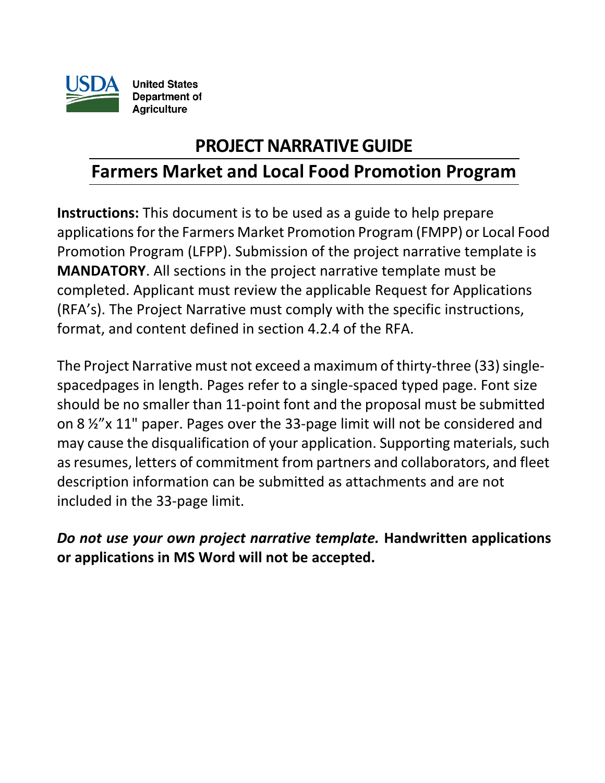

# **PROJECT NARRATIVE GUIDE**

# **Farmers Market and Local Food Promotion Program**

**Instructions:** This document is to be used as a guide to help prepare applications for the Farmers Market Promotion Program (FMPP) or Local Food Promotion Program (LFPP). Submission of the project narrative template is **MANDATORY**. All sections in the project narrative template must be completed. Applicant must review the applicable Request for Applications (RFA's). The Project Narrative must comply with the specific instructions, format, and content defined in section 4.2.4 of the RFA.

The Project Narrative must not exceed a maximum of thirty-three (33) singlespacedpages in length. Pages refer to a single-spaced typed page. Font size should be no smaller than 11-point font and the proposal must be submitted on 8 ½"x 11" paper. Pages over the 33-page limit will not be considered and may cause the disqualification of your application. Supporting materials, such asresumes, letters of commitment from partners and collaborators, and fleet description information can be submitted as attachments and are not included in the 33-page limit.

*Do not use your own project narrative template.* **Handwritten applications or applications in MS Word will not be accepted.**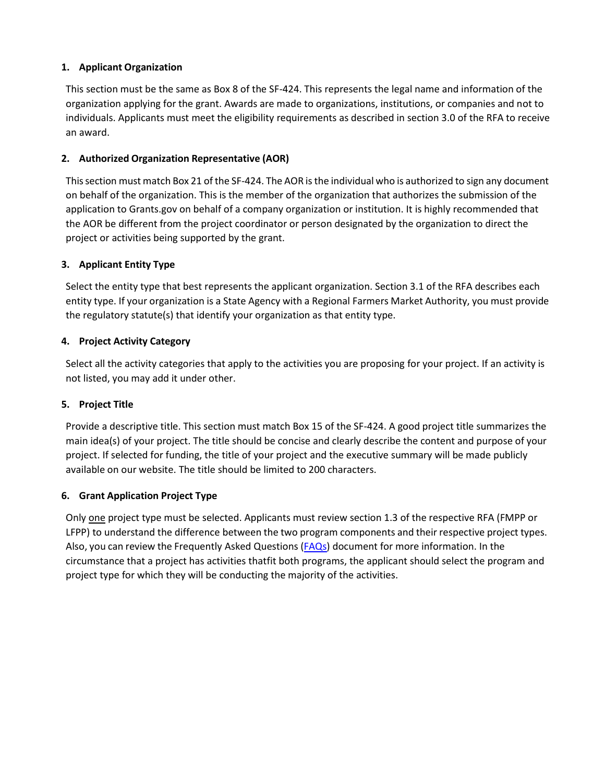#### **1. Applicant Organization**

This section must be the same as Box 8 of the SF-424. This represents the legal name and information of the organization applying for the grant. Awards are made to organizations, institutions, or companies and not to individuals. Applicants must meet the eligibility requirements as described in section 3.0 of the RFA to receive an award.

#### **2. Authorized Organization Representative (AOR)**

This section must match Box 21 of the SF-424. The AOR is the individual who is authorized to sign any document on behalf of the organization. This is the member of the organization that authorizes the submission of the application to Grants.gov on behalf of a company organization or institution. It is highly recommended that the AOR be different from the project coordinator or person designated by the organization to direct the project or activities being supported by the grant.

#### **3. Applicant Entity Type**

Select the entity type that best represents the applicant organization. Section 3.1 of the RFA describes each entity type. If your organization is a State Agency with a Regional Farmers Market Authority, you must provide the regulatory statute(s) that identify your organization as that entity type.

#### **4. Project Activity Category**

Select all the activity categories that apply to the activities you are proposing for your project. If an activity is not listed, you may add it under other.

#### **5. Project Title**

Provide a descriptive title. This section must match Box 15 of the SF-424. A good project title summarizes the main idea(s) of your project. The title should be concise and clearly describe the content and purpose of your project. If selected for funding, the title of your project and the executive summary will be made publicly available on our website. The title should be limited to 200 characters.

#### **6. Grant Application Project Type**

Only one project type must be selected. Applicants must review section 1.3 of the respective RFA (FMPP or LFPP) to understand the difference between the two program components and their respective project types. Also, you can review the Frequently Asked Questions [\(FAQs\)](https://www.ams.usda.gov/sites/default/files/media/FMLFPPFAQs.pdf) document for more information. In the circumstance that a project has activities thatfit both programs, the applicant should select the program and project type for which they will be conducting the majority of the activities.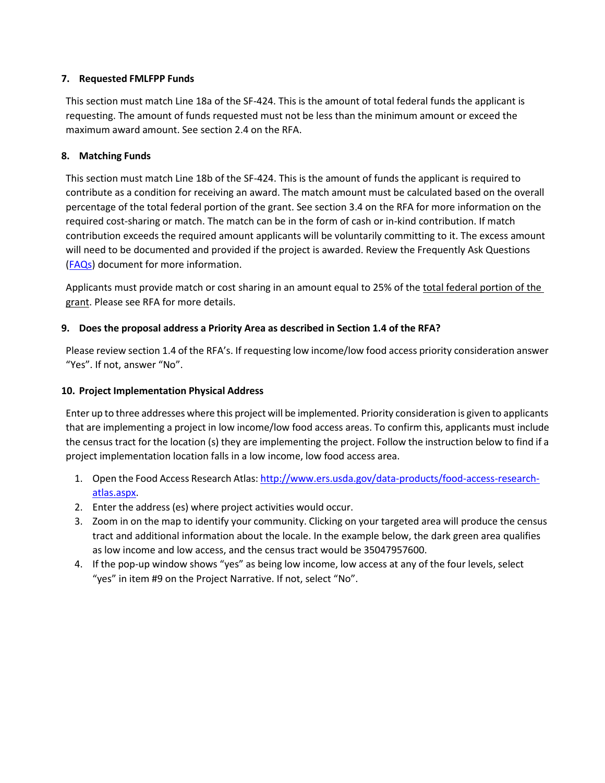#### **7. Requested FMLFPP Funds**

This section must match Line 18a of the SF-424. This is the amount of total federal funds the applicant is requesting. The amount of funds requested must not be less than the minimum amount or exceed the maximum award amount. See section 2.4 on the RFA.

#### **8. Matching Funds**

This section must match Line 18b of the SF-424. This is the amount of funds the applicant is required to contribute as a condition for receiving an award. The match amount must be calculated based on the overall percentage of the total federal portion of the grant. See section 3.4 on the RFA for more information on the required cost-sharing or match. The match can be in the form of cash or in-kind contribution. If match contribution exceeds the required amount applicants will be voluntarily committing to it. The excess amount will need to be documented and provided if the project is awarded. Review the Frequently Ask Questions [\(FAQs\)](https://www.ams.usda.gov/sites/default/files/media/FMLFPPFAQs.pdf) document for more information.

Applicants must provide match or cost sharing in an amount equal to 25% of the total federal portion of the grant. Please see RFA for more details.

#### **9. Does the proposal address a Priority Area as described in Section 1.4 of the RFA?**

Please review section 1.4 of the RFA's. If requesting low income/low food access priority consideration answer "Yes". If not, answer "No".

#### **10. Project Implementation Physical Address**

Enter up to three addresses where this project will be implemented. Priority consideration is given to applicants that are implementing a project in low income/low food access areas. To confirm this, applicants must include the census tract for the location (s) they are implementing the project. Follow the instruction below to find if a project implementation location falls in a low income, low food access area.

- 1. Open the Food Access Research Atlas: [http://www.ers.usda.gov/data-products/food-access-research](https://gcc02.safelinks.protection.outlook.com/?url=http%3A%2F%2Fwww.ers.usda.gov%2Fdata-products%2Ffood-access-research-atlas.aspx&data=04%7C01%7C%7C5bf32c3524924c035b4a08d8c96d977b%7Ced5b36e701ee4ebc867ee03cfa0d4697%7C0%7C0%7C637480819819219658%7CUnknown%7CTWFpbGZsb3d8eyJWIjoiMC4wLjAwMDAiLCJQIjoiV2luMzIiLCJBTiI6Ik1haWwiLCJXVCI6Mn0%3D%7C1000&sdata=1TkgRhosIWhVEDQPr8lJZdimYs7Fr5sqZOR0WF4Y34M%3D&reserved=0)[atlas.aspx.](https://gcc02.safelinks.protection.outlook.com/?url=http%3A%2F%2Fwww.ers.usda.gov%2Fdata-products%2Ffood-access-research-atlas.aspx&data=04%7C01%7C%7C5bf32c3524924c035b4a08d8c96d977b%7Ced5b36e701ee4ebc867ee03cfa0d4697%7C0%7C0%7C637480819819219658%7CUnknown%7CTWFpbGZsb3d8eyJWIjoiMC4wLjAwMDAiLCJQIjoiV2luMzIiLCJBTiI6Ik1haWwiLCJXVCI6Mn0%3D%7C1000&sdata=1TkgRhosIWhVEDQPr8lJZdimYs7Fr5sqZOR0WF4Y34M%3D&reserved=0)
- 2. Enter the address (es) where project activities would occur.
- 3. Zoom in on the map to identify your community. Clicking on your targeted area will produce the census tract and additional information about the locale. In the example below, the dark green area qualifies as low income and low access, and the census tract would be 35047957600.
- 4. If the pop-up window shows "yes" as being low income, low access at any of the four levels, select "yes" in item #9 on the Project Narrative. If not, select "No".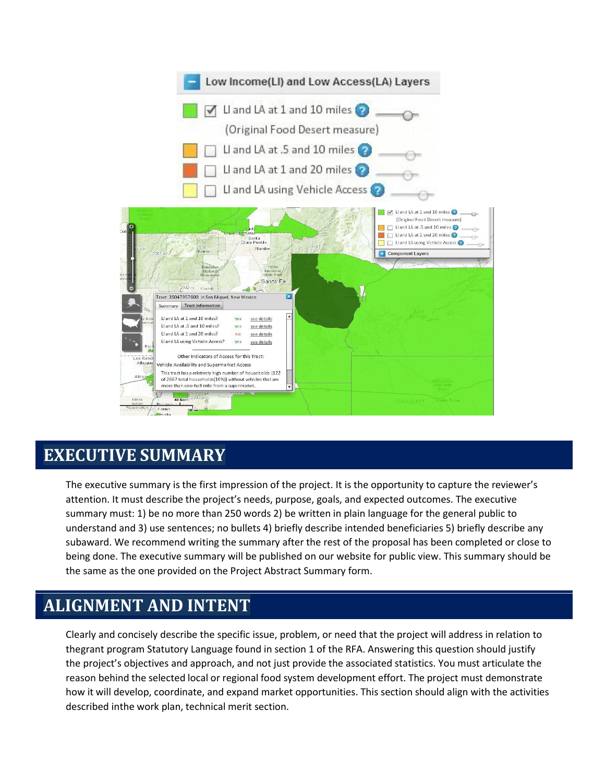

# **EXECUTIVE SUMMARY**

The executive summary is the first impression of the project. It is the opportunity to capture the reviewer's attention. It must describe the project's needs, purpose, goals, and expected outcomes. The executive summary must: 1) be no more than 250 words 2) be written in plain language for the general public to understand and 3) use sentences; no bullets 4) briefly describe intended beneficiaries 5) briefly describe any subaward. We recommend writing the summary after the rest of the proposal has been completed or close to being done. The executive summary will be published on our website for public view. This summary should be the same as the one provided on the Project Abstract Summary form.

# **ALIGNMENT AND INTENT**

Clearly and concisely describe the specific issue, problem, or need that the project will address in relation to thegrant program Statutory Language found in section 1 of the RFA. Answering this question should justify the project's objectives and approach, and not just provide the associated statistics. You must articulate the reason behind the selected local or regional food system development effort. The project must demonstrate how it will develop, coordinate, and expand market opportunities. This section should align with the activities described inthe work plan, technical merit section.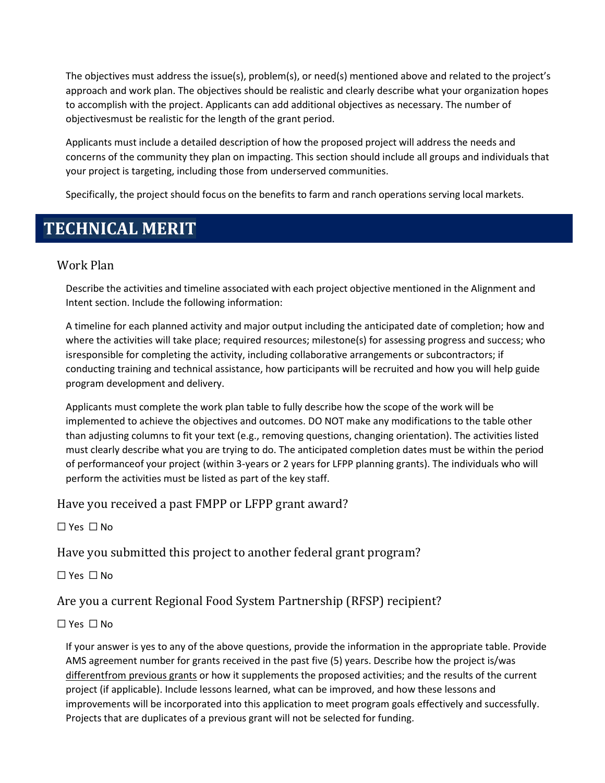The objectives must address the issue(s), problem(s), or need(s) mentioned above and related to the project's approach and work plan. The objectives should be realistic and clearly describe what your organization hopes to accomplish with the project. Applicants can add additional objectives as necessary. The number of objectivesmust be realistic for the length of the grant period.

Applicants must include a detailed description of how the proposed project will address the needs and concerns of the community they plan on impacting. This section should include all groups and individuals that your project is targeting, including those from underserved communities.

Specifically, the project should focus on the benefits to farm and ranch operations serving local markets.

# **TECHNICAL MERIT**

## Work Plan

Describe the activities and timeline associated with each project objective mentioned in the Alignment and Intent section. Include the following information:

A timeline for each planned activity and major output including the anticipated date of completion; how and where the activities will take place; required resources; milestone(s) for assessing progress and success; who isresponsible for completing the activity, including collaborative arrangements or subcontractors; if conducting training and technical assistance, how participants will be recruited and how you will help guide program development and delivery.

Applicants must complete the work plan table to fully describe how the scope of the work will be implemented to achieve the objectives and outcomes. DO NOT make any modifications to the table other than adjusting columns to fit your text (e.g., removing questions, changing orientation). The activities listed must clearly describe what you are trying to do. The anticipated completion dates must be within the period of performanceof your project (within 3-years or 2 years for LFPP planning grants). The individuals who will perform the activities must be listed as part of the key staff.

Have you received a past FMPP or LFPP grant award?

☐ Yes ☐ No

Have you submitted this project to another federal grant program?

☐ Yes ☐ No

Are you a current Regional Food System Partnership (RFSP) recipient?

### ☐ Yes ☐ No

If your answer is yes to any of the above questions, provide the information in the appropriate table. Provide AMS agreement number for grants received in the past five (5) years. Describe how the project is/was differentfrom previous grants or how it supplements the proposed activities; and the results of the current project (if applicable). Include lessons learned, what can be improved, and how these lessons and improvements will be incorporated into this application to meet program goals effectively and successfully. Projects that are duplicates of a previous grant will not be selected for funding.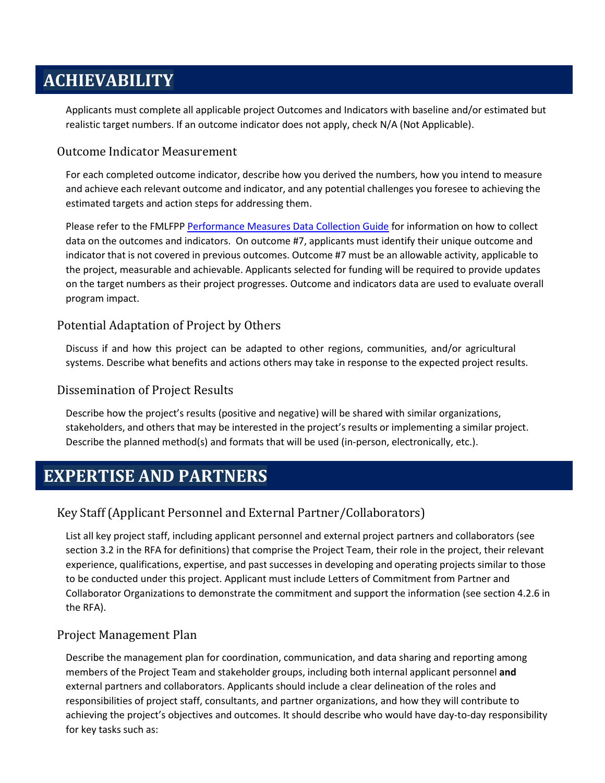# **ACHIEVABILITY**

Applicants must complete all applicable project Outcomes and Indicators with baseline and/or estimated but realistic target numbers. If an outcome indicator does not apply, check N/A (Not Applicable).

## Outcome Indicator Measurement

For each completed outcome indicator, describe how you derived the numbers, how you intend to measure and achieve each relevant outcome and indicator, and any potential challenges you foresee to achieving the estimated targets and action steps for addressing them.

Please refer to the FMLFP[P Performance Measures](https://www.ams.usda.gov/sites/default/files/media/FMLFPP_PerformanceMeasuresDataCollectionGuide.pdf) Data Collection Guide for information on how to collect data on the outcomes and indicators. On outcome #7, applicants must identify their unique outcome and indicator that is not covered in previous outcomes. Outcome #7 must be an allowable activity, applicable to the project, measurable and achievable. Applicants selected for funding will be required to provide updates on the target numbers as their project progresses. Outcome and indicators data are used to evaluate overall program impact.

### Potential Adaptation of Project by Others

Discuss if and how this project can be adapted to other regions, communities, and/or agricultural systems. Describe what benefits and actions others may take in response to the expected project results.

### Dissemination of Project Results

Describe how the project's results (positive and negative) will be shared with similar organizations, stakeholders, and others that may be interested in the project's results or implementing a similar project. Describe the planned method(s) and formats that will be used (in-person, electronically, etc.).

# **EXPERTISE AND PARTNERS**

## Key Staff (Applicant Personnel and External Partner/Collaborators)

List all key project staff, including applicant personnel and external project partners and collaborators (see section 3.2 in the RFA for definitions) that comprise the Project Team, their role in the project, their relevant experience, qualifications, expertise, and past successes in developing and operating projects similar to those to be conducted under this project. Applicant must include Letters of Commitment from Partner and Collaborator Organizations to demonstrate the commitment and support the information (see section 4.2.6 in the RFA).

## Project Management Plan

Describe the management plan for coordination, communication, and data sharing and reporting among members of the Project Team and stakeholder groups, including both internal applicant personnel **and** external partners and collaborators. Applicants should include a clear delineation of the roles and responsibilities of project staff, consultants, and partner organizations, and how they will contribute to achieving the project's objectives and outcomes. It should describe who would have day-to-day responsibility for key tasks such as: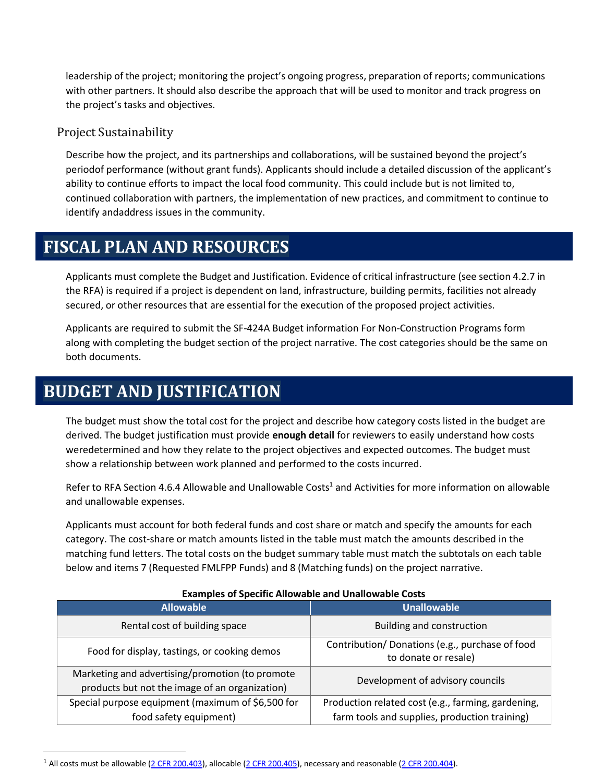leadership of the project; monitoring the project's ongoing progress, preparation of reports; communications with other partners. It should also describe the approach that will be used to monitor and track progress on the project's tasks and objectives.

## Project Sustainability

Describe how the project, and its partnerships and collaborations, will be sustained beyond the project's periodof performance (without grant funds). Applicants should include a detailed discussion of the applicant's ability to continue efforts to impact the local food community. This could include but is not limited to, continued collaboration with partners, the implementation of new practices, and commitment to continue to identify andaddress issues in the community.

# **FISCAL PLAN AND RESOURCES**

Applicants must complete the Budget and Justification. Evidence of critical infrastructure (see section 4.2.7 in the RFA) is required if a project is dependent on land, infrastructure, building permits, facilities not already secured, or other resources that are essential for the execution of the proposed project activities.

Applicants are required to submit the SF-424A Budget information For Non-Construction Programs form along with completing the budget section of the project narrative. The cost categories should be the same on both documents.

# **BUDGET AND JUSTIFICATION**

The budget must show the total cost for the project and describe how category costs listed in the budget are derived. The budget justification must provide **enough detail** for reviewers to easily understand how costs weredetermined and how they relate to the project objectives and expected outcomes. The budget must show a relationship between work planned and performed to the costs incurred.

Refer to RFA Section 4.6.4 Allowable and Unallowable Co[s](#page-7-0)ts<sup>1</sup> and Activities for more information on allowable and unallowable expenses.

Applicants must account for both federal funds and cost share or match and specify the amounts for each category. The cost-share or match amounts listed in the table must match the amounts described in the matching fund letters. The total costs on the budget summary table must match the subtotals on each table below and items 7 (Requested FMLFPP Funds) and 8 (Matching funds) on the project narrative.

| EXAMPLES OF SPECIFIC ANOWANIC AND ONGHOWANIC COSTS<br><b>Allowable</b> | <b>Unallowable</b>                                 |
|------------------------------------------------------------------------|----------------------------------------------------|
|                                                                        |                                                    |
| Rental cost of building space                                          | <b>Building and construction</b>                   |
| Food for display, tastings, or cooking demos                           | Contribution/ Donations (e.g., purchase of food    |
|                                                                        | to donate or resale)                               |
|                                                                        |                                                    |
| Marketing and advertising/promotion (to promote                        | Development of advisory councils                   |
| products but not the image of an organization)                         |                                                    |
| Special purpose equipment (maximum of \$6,500 for                      | Production related cost (e.g., farming, gardening, |
| food safety equipment)                                                 | farm tools and supplies, production training)      |

#### **Examples of Specific Allowable and Unallowable Costs**

<sup>&</sup>lt;sup>1</sup> All costs must be allowable (2 CFR [200.403\),](https://ecfr.gov/cgi-bin/text-idx?SID=22e61acdd57c3b269b9338ce66f4b8db&mc=true&node=se2.1.200_1403&rgn=div8) allocable (2 CFR [200.405\),](https://ecfr.gov/cgi-bin/text-idx?SID=22e61acdd57c3b269b9338ce66f4b8db&mc=true&node=se2.1.200_1405&rgn=div8) necessary and reasonable (2 CFR [200.404\).](https://ecfr.gov/cgi-bin/text-idx?SID=22e61acdd57c3b269b9338ce66f4b8db&mc=true&node=se2.1.200_1404&rgn=div8)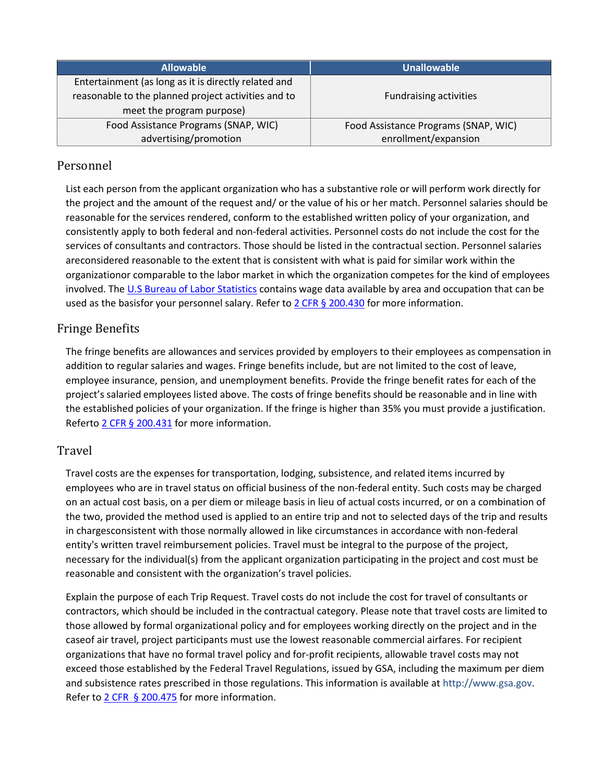<span id="page-7-0"></span>

| <b>Allowable</b>                                     | <b>Unallowable</b>                   |
|------------------------------------------------------|--------------------------------------|
| Entertainment (as long as it is directly related and |                                      |
| reasonable to the planned project activities and to  | <b>Fundraising activities</b>        |
| meet the program purpose)                            |                                      |
| Food Assistance Programs (SNAP, WIC)                 | Food Assistance Programs (SNAP, WIC) |
| advertising/promotion                                | enrollment/expansion                 |

## Personnel

List each person from the applicant organization who has a substantive role or will perform work directly for the project and the amount of the request and/ or the value of his or her match. Personnel salaries should be reasonable for the services rendered, conform to the established written policy of your organization, and consistently apply to both federal and non-federal activities. Personnel costs do not include the cost for the services of consultants and contractors. Those should be listed in the contractual section. Personnel salaries areconsidered reasonable to the extent that is consistent with what is paid for similar work within the organizationor comparable to the labor market in which the organization competes for the kind of employees involved. The [U.S Bureau of Labor Statistics](https://www.bls.gov/bls/blswage.htm) contains wage data available by area and occupation that can be used as the basisfor your personnel salary. Refer to 2 CFR [§ 200.430](https://ecfr.gov/cgi-bin/text-idx?SID=2d44ad012e22057ef27f9d39716eb4d9&mc=true&node=se2.1.200_1430&rgn=div8) for more information.

## Fringe Benefits

The fringe benefits are allowances and services provided by employers to their employees as compensation in addition to regular salaries and wages. Fringe benefits include, but are not limited to the cost of leave, employee insurance, pension, and unemployment benefits. Provide the fringe benefit rates for each of the project's salaried employees listed above. The costs of fringe benefits should be reasonable and in line with the established policies of your organization. If the fringe is higher than 35% you must provide a justification. Referto 2 [CFR § 200.431](https://ecfr.gov/cgi-bin/text-idx?SID=2d44ad012e22057ef27f9d39716eb4d9&mc=true&node=se2.1.200_1431&rgn=div8) for more information.

## Travel

Travel costs are the expenses for transportation, lodging, subsistence, and related items incurred by employees who are in travel status on official business of the non-federal entity. Such costs may be charged on an actual cost basis, on a per diem or mileage basis in lieu of actual costs incurred, or on a combination of the two, provided the method used is applied to an entire trip and not to selected days of the trip and results in chargesconsistent with those normally allowed in like circumstances in accordance with non-federal entity's written travel reimbursement policies. Travel must be integral to the purpose of the project, necessary for the individual(s) from the applicant organization participating in the project and cost must be reasonable and consistent with the organization's travel policies.

Explain the purpose of each Trip Request. Travel costs do not include the cost for travel of consultants or contractors, which should be included in the contractual category. Please note that travel costs are limited to those allowed by formal organizational policy and for employees working directly on the project and in the caseof air travel, project participants must use the lowest reasonable commercial airfares. For recipient organizations that have no formal travel policy and for-profit recipients, allowable travel costs may not exceed those established by the Federal Travel Regulations, issued by GSA, including the maximum per diem and subsistence rates prescribed in those regulations. This information is available at [http://www.gsa.gov.](http://www.gsa.gov/)  Refer to 2 CFR [§ 200.475](https://ecfr.gov/cgi-bin/text-idx?SID=2d44ad012e22057ef27f9d39716eb4d9&mc=true&node=se2.1.200_1475&rgn=div8) for more information.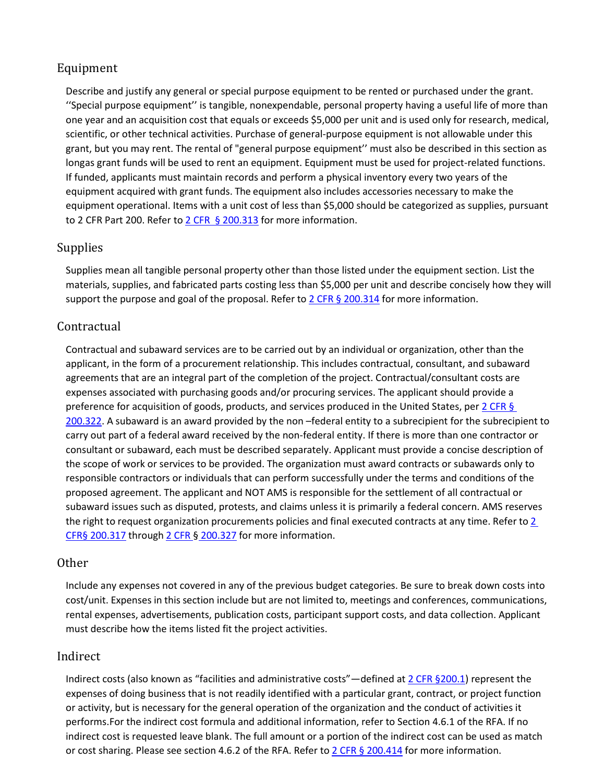## Equipment

Describe and justify any general or special purpose equipment to be rented or purchased under the grant. ''Special purpose equipment'' is tangible, nonexpendable, personal property having a useful life of more than one year and an acquisition cost that equals or exceeds \$5,000 per unit and is used only for research, medical, scientific, or other technical activities. Purchase of general-purpose equipment is not allowable under this grant, but you may rent. The rental of "general purpose equipment'' must also be described in this section as longas grant funds will be used to rent an equipment. Equipment must be used for project-related functions. If funded, applicants must maintain records and perform a physical inventory every two years of the equipment acquired with grant funds. The equipment also includes accessories necessary to make the equipment operational. Items with a unit cost of less than \$5,000 should be categorized as supplies, pursuant to 2 CFR Part 200. Refer to 2 CFR § [200.313](https://ecfr.gov/cgi-bin/text-idx?SID=2d44ad012e22057ef27f9d39716eb4d9&mc=true&node=se2.1.200_1313&rgn=div8) for more information.

### Supplies

Supplies mean all tangible personal property other than those listed under the equipment section. List the materials, supplies, and fabricated parts costing less than \$5,000 per unit and describe concisely how they will support the purpose and goal of the proposal. Refer to  $2$  CFR § [200.314](https://ecfr.gov/cgi-bin/text-idx?SID=2d44ad012e22057ef27f9d39716eb4d9&mc=true&node=se2.1.200_1314&rgn=div8) for more information.

## Contractual

Contractual and subaward services are to be carried out by an individual or organization, other than the applicant, in the form of a procurement relationship. This includes contractual, consultant, and subaward agreements that are an integral part of the completion of the project. Contractual/consultant costs are expenses associated with purchasing goods and/or procuring services. The applicant should provide a preference for acquisition of goods, products, and services produced in the United States, pe[r 2 CFR §](https://ecfr.gov/cgi-bin/text-idx?SID=a35105cb613efdcdb6da3dedaa9ef567&mc=true&node=se2.1.200_1322&rgn=div8)  [200.322. A](https://ecfr.gov/cgi-bin/text-idx?SID=a35105cb613efdcdb6da3dedaa9ef567&mc=true&node=se2.1.200_1322&rgn=div8) subaward is an award provided by the non –federal entity to a subrecipient for the subrecipient to carry out part of a federal award received by the non-federal entity. If there is more than one contractor or consultant or subaward, each must be described separately. Applicant must provide a concise description of the scope of work or services to be provided. The organization must award contracts or subawards only to responsible contractors or individuals that can perform successfully under the terms and conditions of the proposed agreement. The applicant and NOT AMS is responsible for the settlement of all contractual or subaward issues such as disputed, protests, and claims unless it is primarily a federal concern. AMS reserves the right to request organization procurements policies and final executed contracts at any time. Refer to [2](https://www.ecfr.gov/cgi-bin/retrieveECFR?gp&%3BSID=79a513fe1d22c4dc205024bfe0da799a&%3Bn=pt2.1.200&%3Br=PART&%3Bty=HTML&%3Bse2.1.200_1302&se2.1.200_1317) [CFR§](https://www.ecfr.gov/cgi-bin/retrieveECFR?gp&%3BSID=79a513fe1d22c4dc205024bfe0da799a&%3Bn=pt2.1.200&%3Br=PART&%3Bty=HTML&%3Bse2.1.200_1302&se2.1.200_1317) [200.317](https://www.ecfr.gov/cgi-bin/retrieveECFR?gp&%3BSID=79a513fe1d22c4dc205024bfe0da799a&%3Bn=pt2.1.200&%3Br=PART&%3Bty=HTML&%3Bse2.1.200_1302&se2.1.200_1317) through 2 CFR § [200.327](https://www.ecfr.gov/cgi-bin/retrieveECFR?gp&%3BSID=79a513fe1d22c4dc205024bfe0da799a&%3Bn=pt2.1.200&%3Br=PART&%3Bty=HTML&%3Bse2.1.200_1302&se2.1.200_1327) for more information.

### Other

Include any expenses not covered in any of the previous budget categories. Be sure to break down costs into cost/unit. Expenses in this section include but are not limited to, meetings and conferences, communications, rental expenses, advertisements, publication costs, participant support costs, and data collection. Applicant must describe how the items listed fit the project activities.

### Indirect

Indirect costs (also known as "facilities and administrative costs"—defined at [2 CFR §200.1\)](https://ecfr.gov/cgi-bin/text-idx?SID=2d44ad012e22057ef27f9d39716eb4d9&mc=true&node=se2.1.200_11&rgn=div8) represent the expenses of doing business that is not readily identified with a particular grant, contract, or project function or activity, but is necessary for the general operation of the organization and the conduct of activities it performs.For the indirect cost formula and additional information, refer to Section 4.6.1 of the RFA. If no indirect cost is requested leave blank. The full amount or a portion of the indirect cost can be used as match or cost sharing. Please see section 4.6.2 of the RFA. Refer to 2 CFR § [200.414](https://ecfr.gov/cgi-bin/text-idx?SID=2d44ad012e22057ef27f9d39716eb4d9&mc=true&node=se2.1.200_1414&rgn=div8) for more information.